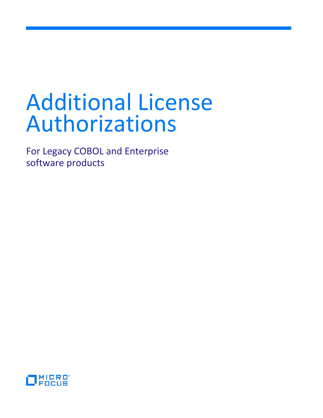# Additional License Authorizations

For Legacy COBOL and Enterprise software products

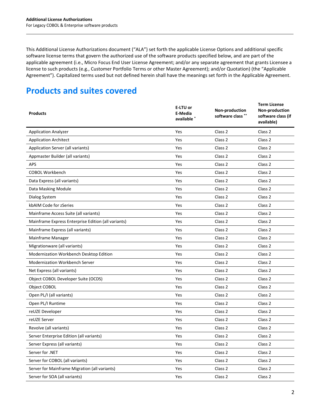This Additional License Authorizations document ("ALA") set forth the applicable License Options and additional specific software license terms that govern the authorized use of the software products specified below, and are part of the applicable agreement (i.e., Micro Focus End User License Agreement; and/or any separate agreement that grants Licensee a license to such products (e.g., Customer Portfolio Terms or other Master Agreement); and/or Quotation) (the "Applicable Agreement"). Capitalized terms used but not defined herein shall have the meanings set forth in the Applicable Agreement.

# **Products and suites covered**

| <b>Products</b>                                     | E-LTU or<br>E-Media<br>available * | Non-production<br>software class ** | <b>Term License</b><br>Non-production<br>software class (if<br>available) |
|-----------------------------------------------------|------------------------------------|-------------------------------------|---------------------------------------------------------------------------|
| <b>Application Analyzer</b>                         | Yes                                | Class <sub>2</sub>                  | Class 2                                                                   |
| <b>Application Architect</b>                        | Yes                                | Class 2                             | Class 2                                                                   |
| Application Server (all variants)                   | Yes                                | Class 2                             | Class 2                                                                   |
| Appmaster Builder (all variants)                    | Yes                                | Class <sub>2</sub>                  | Class <sub>2</sub>                                                        |
| <b>APS</b>                                          | Yes                                | Class 2                             | Class 2                                                                   |
| <b>COBOL Workbench</b>                              | Yes                                | Class 2                             | Class <sub>2</sub>                                                        |
| Data Express (all variants)                         | Yes                                | Class <sub>2</sub>                  | Class <sub>2</sub>                                                        |
| Data Masking Module                                 | Yes                                | Class 2                             | Class 2                                                                   |
| Dialog System                                       | Yes                                | Class 2                             | Class <sub>2</sub>                                                        |
| kbAIM Code for zSeries                              | Yes                                | Class 2                             | Class 2                                                                   |
| Mainframe Access Suite (all variants)               | Yes                                | Class 2                             | Class 2                                                                   |
| Mainframe Express Enterprise Edition (all variants) | Yes                                | Class 2                             | Class 2                                                                   |
| Mainframe Express (all variants)                    | Yes                                | Class <sub>2</sub>                  | Class <sub>2</sub>                                                        |
| Mainframe Manager                                   | Yes                                | Class <sub>2</sub>                  | Class <sub>2</sub>                                                        |
| Migrationware (all variants)                        | Yes                                | Class 2                             | Class 2                                                                   |
| Modernization Workbench Desktop Edition             | Yes                                | Class <sub>2</sub>                  | Class 2                                                                   |
| Modernization Workbench Server                      | Yes                                | Class 2                             | Class 2                                                                   |
| Net Express (all variants)                          | Yes                                | Class 2                             | Class 2                                                                   |
| Object COBOL Developer Suite (OCDS)                 | Yes                                | Class <sub>2</sub>                  | Class <sub>2</sub>                                                        |
| Object COBOL                                        | Yes                                | Class 2                             | Class 2                                                                   |
| Open PL/I (all variants)                            | Yes                                | Class 2                             | Class 2                                                                   |
| Open PL/I Runtime                                   | Yes                                | Class 2                             | Class 2                                                                   |
| reUZE Developer                                     | Yes                                | Class <sub>2</sub>                  | Class 2                                                                   |
| reUZE Server                                        | Yes                                | Class 2                             | Class <sub>2</sub>                                                        |
| Revolve (all variants)                              | Yes                                | Class 2                             | Class <sub>2</sub>                                                        |
| Server Enterprise Edition (all variants)            | Yes                                | Class 2                             | Class <sub>2</sub>                                                        |
| Server Express (all variants)                       | Yes                                | Class 2                             | Class 2                                                                   |
| Server for .NET                                     | Yes                                | Class 2                             | Class 2                                                                   |
| Server for COBOL (all variants)                     | Yes                                | Class 2                             | Class 2                                                                   |
| Server for Mainframe Migration (all variants)       | Yes                                | Class 2                             | Class 2                                                                   |
| Server for SOA (all variants)                       | Yes                                | Class 2                             | Class 2                                                                   |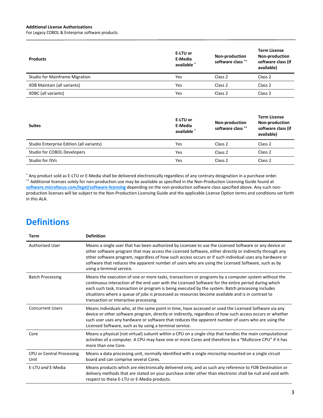#### **Additional License Authorizations**

For Legacy COBOL & Enterprise software products

| <b>Products</b>                       | E-LTU or<br>E-Media<br>available * | Non-production<br>software class ** | <b>Term License</b><br>Non-production<br>software class (if<br>available) |
|---------------------------------------|------------------------------------|-------------------------------------|---------------------------------------------------------------------------|
| <b>Studio for Mainframe Migration</b> | Yes                                | Class 2                             | Class 2                                                                   |
| XDB Maintain (all variants)           | Yes                                | Class 2                             | Class 2                                                                   |
| XDBC (all variants)                   | Yes                                | Class 2                             | Class 2                                                                   |

| <b>Suites</b>                            | E-LTU or<br>E-Media<br>available * | Non-production<br>software class ** | <b>Term License</b><br>Non-production<br>software class (if<br>available) |
|------------------------------------------|------------------------------------|-------------------------------------|---------------------------------------------------------------------------|
| Studio Enterprise Edition (all variants) | Yes                                | Class <sub>2</sub>                  | Class 2                                                                   |
| Studio for COBOL Developers              | Yes                                | Class <sub>2</sub>                  | Class <sub>2</sub>                                                        |
| Studio for ISVs                          | Yes                                | Class <sub>2</sub>                  | Class <sub>2</sub>                                                        |

\* Any product sold as E-LTU or E-Media shall be delivered electronically regardless of any contrary designation in a purchase order. \*\* Additional licenses solely for non-production use may be available as specified in the Non-Production Licensing Guide found at **[software.microfocus.com/legal/software-licensing](http://software.microfocus.com/legal/software-licensing)** depending on the non-production software class specified above. Any such nonproduction licenses will be subject to the Non-Production Licensing Guide and the applicable License Option terms and conditions set forth in this ALA.

# **Definitions**

| Term                              | <b>Definition</b>                                                                                                                                                                                                                                                                                                                                                                                                                                               |
|-----------------------------------|-----------------------------------------------------------------------------------------------------------------------------------------------------------------------------------------------------------------------------------------------------------------------------------------------------------------------------------------------------------------------------------------------------------------------------------------------------------------|
| <b>Authorized User</b>            | Means a single user that has been authorized by Licensee to use the Licensed Software or any device or<br>other software program that may access the Licensed Software, either directly or indirectly through any<br>other software program, regardless of how such access occurs or if such individual uses any hardware or<br>software that reduces the apparent number of users who are using the Licensed Software, such as by<br>using a terminal service. |
| <b>Batch Processing</b>           | Means the execution of one or more tasks, transactions or programs by a computer system without the<br>continuous interaction of the end user with the Licensed Software for the entire period during which<br>each such task, transaction or program is being executed by the system. Batch processing includes<br>situations where a queue of jobs is processed as resources become available and is in contrast to<br>transaction or interactive processing. |
| <b>Concurrent Users</b>           | Means individuals who, at the same point in time, have accessed or used the Licensed Software via any<br>device or other software program, directly or indirectly, regardless of how such access occurs or whether<br>such user uses any hardware or software that reduces the apparent number of users who are using the<br>Licensed Software, such as by using a terminal service.                                                                            |
| Core                              | Means a physical (not virtual) subunit within a CPU on a single chip that handles the main computational<br>activities of a computer. A CPU may have one or more Cores and therefore be a "Multicore CPU" if it has<br>more than one Core.                                                                                                                                                                                                                      |
| CPU or Central Processing<br>Unit | Means a data processing unit, normally identified with a single microchip mounted on a single circuit<br>board and can comprise several Cores.                                                                                                                                                                                                                                                                                                                  |
| E-LTU and E-Media                 | Means products which are electronically delivered only, and as such any reference to FOB Destination or<br>delivery methods that are stated on your purchase order other than electronic shall be null and void with<br>respect to these E-LTU or E-Media products.                                                                                                                                                                                             |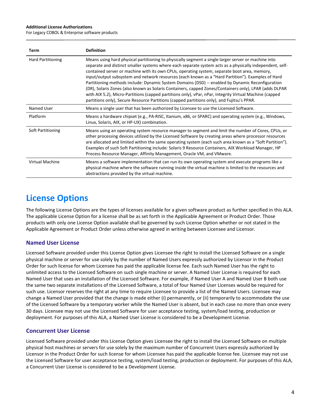#### **Additional License Authorizations**

For Legacy COBOL & Enterprise software products

| Term                     | <b>Definition</b>                                                                                                                                                                                                                                                                                                                                                                                                                                                                                                                                                                                                                                                                                                                                                                                                                           |
|--------------------------|---------------------------------------------------------------------------------------------------------------------------------------------------------------------------------------------------------------------------------------------------------------------------------------------------------------------------------------------------------------------------------------------------------------------------------------------------------------------------------------------------------------------------------------------------------------------------------------------------------------------------------------------------------------------------------------------------------------------------------------------------------------------------------------------------------------------------------------------|
| <b>Hard Partitioning</b> | Means using hard physical partitioning to physically segment a single larger server or machine into<br>separate and distinct smaller systems where each separate system acts as a physically independent, self-<br>contained server or machine with its own CPUs, operating system, separate boot area, memory,<br>input/output subsystem and network resources (each known as a "Hard Partition"). Examples of Hard<br>Partitioning methods include: Dynamic System Domains (DSD) -- enabled by Dynamic Reconfiguration<br>(DR), Solaris Zones (also known as Solaris Containers, capped Zones/Containers only), LPAR (adds DLPAR<br>with AIX 5.2), Micro-Partitions (capped partitions only), vPar, nPar, Integrity Virtual Machine (capped<br>partitions only), Secure Resource Partitions (capped partitions only), and Fujitsu's PPAR. |
| Named User               | Means a single user that has been authorized by Licensee to use the Licensed Software.                                                                                                                                                                                                                                                                                                                                                                                                                                                                                                                                                                                                                                                                                                                                                      |
| Platform                 | Means a hardware chipset (e.g., PA-RISC, Itanium, x86, or SPARC) and operating system (e.g., Windows,<br>Linux, Solaris, AIX, or HP-UX) combination.                                                                                                                                                                                                                                                                                                                                                                                                                                                                                                                                                                                                                                                                                        |
| Soft Partitioning        | Means using an operating system resource manager to segment and limit the number of Cores, CPUs, or<br>other processing devices utilized by the Licensed Software by creating areas where processor resources<br>are allocated and limited within the same operating system (each such area known as a "Soft Partition").<br>Examples of such Soft Partitioning include: Solaris 9 Resource Containers, AIX Workload Manager, HP<br>Process Resource Manager, Affinity Management, Oracle VM, and VMware.                                                                                                                                                                                                                                                                                                                                   |
| <b>Virtual Machine</b>   | Means a software implementation that can run its own operating system and execute programs like a<br>physical machine where the software running inside the virtual machine is limited to the resources and<br>abstractions provided by the virtual machine.                                                                                                                                                                                                                                                                                                                                                                                                                                                                                                                                                                                |

# **License Options**

The following License Options are the types of licenses available for a given software product as further specified in this ALA. The applicable License Option for a license shall be as set forth in the Applicable Agreement or Product Order. Those products with only one License Option available shall be governed by such License Option whether or not stated in the Applicable Agreement or Product Order unless otherwise agreed in writing between Licensee and Licensor.

#### **Named User License**

Licensed Software provided under this License Option gives Licensee the right to install the Licensed Software on a single physical machine or server for use solely by the number of Named Users expressly authorized by Licensor in the Product Order for such license for whom Licensee has paid the applicable license fee. Each such Named User has the right to unlimited access to the Licensed Software on such single machine or server. A Named User License is required for each Named User that uses an installation of the Licensed Software. For example, if Named User A and Named User B both use the same two separate installations of the Licensed Software, a total of four Named User Licenses would be required for such use. Licensor reserves the right at any time to require Licensee to provide a list of the Named Users. Licensee may change a Named User provided that the change is made either (i) permanently, or (ii) temporarily to accommodate the use of the Licensed Software by a temporary worker while the Named User is absent, but in each case no more than once every 30 days. Licensee may not use the Licensed Software for user acceptance testing, system/load testing, production or deployment. For purposes of this ALA, a Named User License is considered to be a Development License.

# **Concurrent User License**

Licensed Software provided under this License Option gives Licensee the right to install the Licensed Software on multiple physical host machines or servers for use solely by the maximum number of Concurrent Users expressly authorized by Licensor in the Product Order for such license for whom Licensee has paid the applicable license fee. Licensee may not use the Licensed Software for user acceptance testing, system/load testing, production or deployment. For purposes of this ALA, a Concurrent User License is considered to be a Development License.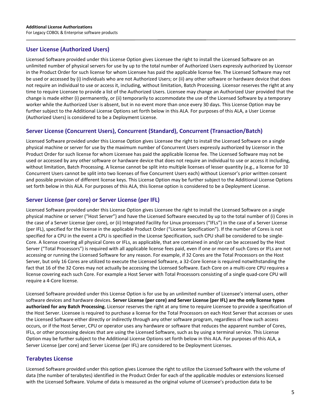# **User License (Authorized Users)**

Licensed Software provided under this License Option gives Licensee the right to install the Licensed Software on an unlimited number of physical servers for use by up to the total number of Authorized Users expressly authorized by Licensor in the Product Order for such license for whom Licensee has paid the applicable license fee. The Licensed Software may not be used or accessed by (i) individuals who are not Authorized Users; or (ii) any other software or hardware device that does not require an individual to use or access it, including, without limitation, Batch Processing. Licensor reserves the right at any time to require Licensee to provide a list of the Authorized Users. Licensee may change an Authorized User provided that the change is made either (i) permanently, or (ii) temporarily to accommodate the use of the Licensed Software by a temporary worker while the Authorized User is absent, but in no event more than once every 30 days. This License Option may be further subject to the Additional License Options set forth below in this ALA. For purposes of this ALA, a User License (Authorized Users) is considered to be a Deployment License.

# **Server License (Concurrent Users), Concurrent (Standard), Concurrent (Transaction/Batch)**

Licensed Software provided under this License Option gives Licensee the right to install the Licensed Software on a single physical machine or server for use by the maximum number of Concurrent Users expressly authorized by Licensor in the Product Order for such license for whom Licensee has paid the applicable license fee. The Licensed Software may not be used or accessed by any other software or hardware device that does not require an individual to use or access it including, without limitation, Batch Processing. A license cannot be split into multiple licenses of lesser quantity (e.g., a license for 10 Concurrent Users cannot be split into two licenses of five Concurrent Users each) without Licensor's prior written consent and possible provision of different license keys. This License Option may be further subject to the Additional License Options set forth below in this ALA. For purposes of this ALA, this license option is considered to be a Deployment License.

# **Server License (per core) or Server License (per IFL)**

Licensed Software provided under this License Option gives Licensee the right to install the Licensed Software on a single physical machine or server ("Host Server") and have the Licensed Software executed by up to the total number of (i) Cores in the case of a Server License (per core), or (ii) Integrated Facility for Linux processors ("IFLs") in the case of a Server License (per IFL), specified for the license in the applicable Product Order ("License Specification"). If the number of Cores is not specified for a CPU in the event a CPU is specified in the License Specification, such CPU shall be considered to be single-Core. A license covering all physical Cores or IFLs, as applicable, that are contained in and/or can be accessed by the Host Server ("Total Processors") is required with all applicable license fees paid, even if one or more of such Cores or IFLs are not accessing or running the Licensed Software for any reason. For example, if 32 Cores are the Total Processors on the Host Server, but only 16 Cores are utilized to execute the Licensed Software, a 32-Core license is required notwithstanding the fact that 16 of the 32 Cores may not actually be accessing the Licensed Software. Each Core on a multi-core CPU requires a license covering each such Core. For example a Host Server with Total Processors consisting of a single quad-core CPU will require a 4-Core license.

Licensed Software provided under this License Option is for use by an unlimited number of Licensee's internal users, other software devices and hardware devices. **Server License (per core) and Server License (per IFL) are the only license types authorized for any Batch Processing.** Licensor reserves the right at any time to require Licensee to provide a specification of the Host Server. Licensee is required to purchase a license for the Total Processors on each Host Server that accesses or uses the Licensed Software either directly or indirectly through any other software program, regardless of how such access occurs, or if the Host Server, CPU or operator uses any hardware or software that reduces the apparent number of Cores, IFLs, or other processing devices that are using the Licensed Software, such as by using a terminal service. This License Option may be further subject to the Additional License Options set forth below in this ALA. For purposes of this ALA, a Server License (per core) and Server License (per IFL) are considered to be Deployment Licenses.

# **Terabytes License**

Licensed Software provided under this option gives Licensee the right to utilize the Licensed Software with the volume of data (the number of terabytes) identified in the Product Order for each of the applicable modules or extensions licensed with the Licensed Software. Volume of data is measured as the original volume of Licensee's production data to be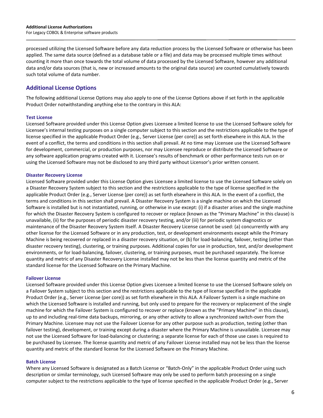processed utilizing the Licensed Software before any data reduction process by the Licensed Software or otherwise has been applied. The same data source (defined as a database table or a file) and data may be processed multiple times without counting it more than once towards the total volume of data processed by the Licensed Software, however any additional data and/or data sources (that is, new or increased amounts to the original data source) are counted cumulatively towards such total volume of data number.

# **Additional License Options**

The following additional License Options may also apply to one of the License Options above if set forth in the applicable Product Order notwithstanding anything else to the contrary in this ALA:

#### **Test License**

Licensed Software provided under this License Option gives Licensee a limited license to use the Licensed Software solely for Licensee's internal testing purposes on a single computer subject to this section and the restrictions applicable to the type of license specified in the applicable Product Order (e.g., Server License (per core)) as set forth elsewhere in this ALA. In the event of a conflict, the terms and conditions in this section shall prevail. At no time may Licensee use the Licensed Software for development, commercial, or production purposes, nor may Licensee reproduce or distribute the Licensed Software or any software application programs created with it. Licensee's results of benchmark or other performance tests run on or using the Licensed Software may not be disclosed to any third party without Licensor's prior written consent.

#### **Disaster Recovery License**

Licensed Software provided under this License Option gives Licensee a limited license to use the Licensed Software solely on a Disaster Recovery System subject to this section and the restrictions applicable to the type of license specified in the applicable Product Order (e.g., Server License (per core)) as set forth elsewhere in this ALA. In the event of a conflict, the terms and conditions in this section shall prevail. A Disaster Recovery System is a single machine on which the Licensed Software is installed but is not instantiated, running, or otherwise in use except: (i) if a disaster arises and the single machine for which the Disaster Recovery System is configured to recover or replace (known as the "Primary Machine" in this clause) is unavailable, (ii) for the purposes of periodic disaster recovery testing, and/or (iii) for periodic system diagnostics or maintenance of the Disaster Recovery System itself. A Disaster Recovery License cannot be used: (a) concurrently with any other license for the Licensed Software or in any production, test, or development environments except while the Primary Machine is being recovered or replaced in a disaster recovery situation, or (b) for load-balancing, failover, testing (other than disaster recovery testing), clustering, or training purposes. Additional copies for use in production, test, and/or development environments, or for load-balancing, failover, clustering, or training purposes, must be purchased separately. The license quantity and metric of any Disaster Recovery License installed may not be less than the license quantity and metric of the standard license for the Licensed Software on the Primary Machine.

#### **Failover License**

Licensed Software provided under this License Option gives Licensee a limited license to use the Licensed Software solely on a Failover System subject to this section and the restrictions applicable to the type of license specified in the applicable Product Order (e.g., Server License (per core)) as set forth elsewhere in this ALA. A Failover System is a single machine on which the Licensed Software is installed and running, but only used to prepare for the recovery or replacement of the single machine for which the Failover System is configured to recover or replace (known as the "Primary Machine" in this clause), up to and including real-time data backups, mirroring, or any other activity to allow a synchronized switch-over from the Primary Machine. Licensee may not use the Failover License for any other purpose such as production, testing (other than failover testing), development, or training except during a disaster where the Primary Machine is unavailable. Licensee may not use the Licensed Software for load-balancing or clustering; a separate license for each of those use cases is required to be purchased by Licensee. The license quantity and metric of any Failover License installed may not be less than the license quantity and metric of the standard license for the Licensed Software on the Primary Machine.

#### **Batch License**

Where any Licensed Software is designated as a Batch License or "Batch-Only" in the applicable Product Order using such description or similar terminology, such Licensed Software may only be used to perform batch processing on a single computer subject to the restrictions applicable to the type of license specified in the applicable Product Order (e.g., Server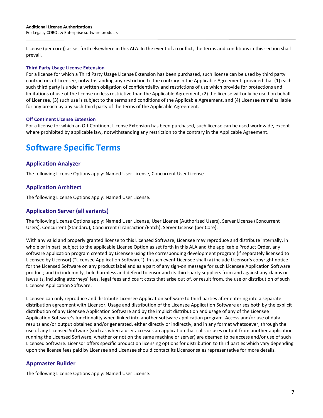License (per core)) as set forth elsewhere in this ALA. In the event of a conflict, the terms and conditions in this section shall prevail.

#### **Third Party Usage License Extension**

For a license for which a Third Party Usage License Extension has been purchased, such license can be used by third party contractors of Licensee, notwithstanding any restriction to the contrary in the Applicable Agreement, provided that (1) each such third party is under a written obligation of confidentiality and restrictions of use which provide for protections and limitations of use of the license no less restrictive than the Applicable Agreement, (2) the license will only be used on behalf of Licensee, (3) such use is subject to the terms and conditions of the Applicable Agreement, and (4) Licensee remains liable for any breach by any such third party of the terms of the Applicable Agreement.

#### **Off Continent License Extension**

For a license for which an Off Continent License Extension has been purchased, such license can be used worldwide, except where prohibited by applicable law, notwithstanding any restriction to the contrary in the Applicable Agreement.

# **Software Specific Terms**

#### **Application Analyzer**

The following License Options apply: Named User License, Concurrent User License.

#### **Application Architect**

The following License Options apply: Named User License.

#### **Application Server (all variants)**

The following License Options apply: Named User License, User License (Authorized Users), Server License (Concurrent Users), Concurrent (Standard), Concurrent (Transaction/Batch), Server License (per Core).

With any valid and properly granted license to this Licensed Software, Licensee may reproduce and distribute internally, in whole or in part, subject to the applicable License Option as set forth in this ALA and the applicable Product Order, any software application program created by Licensee using the corresponding development program (if separately licensed to Licensee by Licensor) ("Licensee Application Software"). In such event Licensee shall (a) include Licensor's copyright notice for the Licensed Software on any product label and as a part of any sign-on message for such Licensee Application Software product; and (b) indemnify, hold harmless and defend Licensor and its third-party suppliers from and against any claims or lawsuits, including attorneys' fees, legal fees and court costs that arise out of, or result from, the use or distribution of such Licensee Application Software.

Licensee can only reproduce and distribute Licensee Application Software to third parties after entering into a separate distribution agreement with Licensor. Usage and distribution of the Licensee Application Software arises both by the explicit distribution of any Licensee Application Software and by the implicit distribution and usage of any of the Licensee Application Software's functionality when linked into another software application program. Access and/or use of data, results and/or output obtained and/or generated, either directly or indirectly, and in any format whatsoever, through the use of any Licensed Software (such as when a user accesses an application that calls or uses output from another application running the Licensed Software, whether or not on the same machine or server) are deemed to be access and/or use of such Licensed Software. Licensor offers specific production licensing options for distribution to third parties which vary depending upon the license fees paid by Licensee and Licensee should contact its Licensor sales representative for more details.

#### **Appmaster Builder**

The following License Options apply: Named User License.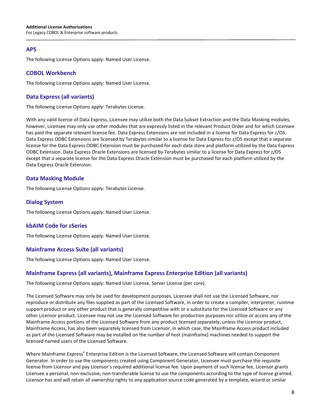#### **APS**

The following License Options apply: Named User License.

#### **COBOL Workbench**

The following License Options apply: Named User License.

#### **Data Express (all variants)**

The following License Options apply: Terabytes License.

With any valid license of Data Express, Licensee may utilize both the Data Subset Extraction and the Data Masking modules, however, Licensee may only use other modules that are expressly listed in the relevant Product Order and for which Licensee has paid the separate relevant license fee. Data Express Extensions are not included in a license for Data Express for z/OS. Data Express ODBC Extensions are licensed by Terabytes similar to a license for Data Express for z/OS except that a separate license for the Data Express ODBC Extension must be purchased for each data store and platform utilized by the Data Express ODBC Extension. Data Express Oracle Extensions are licensed by Terabytes similar to a license for Data Express for z/OS except that a separate license for the Data Express Oracle Extension must be purchased for each platform utilized by the Data Express Oracle Extension.

#### **Data Masking Module**

The following License Options apply: Terabytes License.

#### **Dialog System**

The following License Options apply: Named User License.

#### **kbAIM Code for zSeries**

The following License Options apply: Named User License.

# **Mainframe Access Suite (all variants)**

The following License Options apply: Named User License.

# **Mainframe Express (all variants), Mainframe Express Enterprise Edition (all variants)**

The following License Options apply: Named User License, Server License (per core).

The Licensed Software may only be used for development purposes. Licensee shall not use the Licensed Software, nor reproduce or distribute any files supplied as part of the Licensed Software, in order to create a compiler, interpreter, runtime support product or any other product that is generally competitive with or a substitute for the Licensed Software or any other Licensor product. Licensee may not use the Licensed Software for production purposes nor utilize or access any of the Mainframe Access portions of the Licensed Software from any product licensed separately, unless the Licensor product, Mainframe Access, has also been separately licensed from Licensor, in which case, the Mainframe Access product included as part of the Licensed Software may be installed on the number of host (mainframe) machines needed to support the licensed named users of the Licensed Software.

Where Mainframe Express**®** Enterprise Edition is the Licensed Software, the Licensed Software will contain Component Generator. In order to use the components created using Component Generator, Licensee must purchase the requisite license from Licensor and pay Licensor's required additional license fee. Upon payment of such license fee, Licensor grants Licensee a personal, non-exclusive, non-transferable license to use the components according to the type of license granted. Licensor has and will retain all ownership rights to any application source code generated by a template, wizard or similar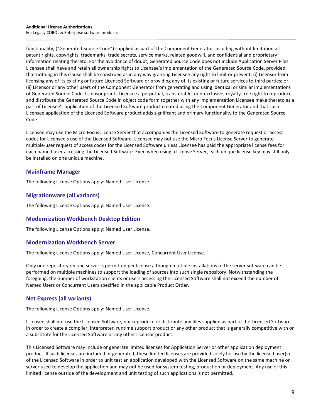functionality, ("Generated Source Code") supplied as part of the Component Generator including without limitation all patent rights, copyrights, trademarks, trade secrets, service marks, related goodwill, and confidential and proprietary information relating thereto. For the avoidance of doubt, Generated Source Code does not include Application Server Files. Licensee shall have and retain all ownership rights to Licensee's implementation of the Generated Source Code, provided that nothing in this clause shall be construed as in any way granting Licensee any right to limit or prevent: (i) Licensor from licensing any of its existing or future Licensed Software or providing any of its existing or future services to third parties; or (ii) Licensor or any other users of the Component Generator from generating and using identical or similar implementations of Generated Source Code. Licensor grants Licensee a perpetual, transferable, non-exclusive, royalty-free right to reproduce and distribute the Generated Source Code in object code form together with any implementation Licensee make thereto as a part of Licensee's application of the Licensed Software product created using the Component Generator and that such Licensee application of the Licensed Software product adds significant and primary functionality to the Generated Source Code.

Licensee may use the Micro Focus License Server that accompanies the Licensed Software to generate request or access codes for Licensee's use of the Licensed Software. Licensee may not use the Micro Focus License Server to generate multiple-user request of access codes for the Licensed Software unless Licensee has paid the appropriate license fees for each named user accessing the Licensed Software. Even when using a License Server, each unique license key may still only be installed on one unique machine.

# **Mainframe Manager**

The following License Options apply: Named User License.

#### **Migrationware (all variants)**

The following License Options apply: Named User License.

#### **Modernization Workbench Desktop Edition**

The following License Options apply: Named User License.

#### **Modernization Workbench Server**

The following License Options apply: Named User License, Concurrent User License.

Only one repository on one server is permitted per license although multiple installations of the server software can be performed on multiple machines to support the loading of sources into such single repository. Notwithstanding the foregoing, the number of workstation clients or users accessing the Licensed Software shall not exceed the number of Named Users or Concurrent Users specified in the applicable Product Order.

# **Net Express (all variants)**

The following License Options apply: Named User License.

Licensee shall not use the Licensed Software, nor reproduce or distribute any files supplied as part of the Licensed Software, in order to create a compiler, interpreter, runtime support product or any other product that is generally competitive with or a substitute for the Licensed Software or any other Licensor product.

This Licensed Software may include or generate limited licenses for Application Server or other application deployment product. If such licenses are included or generated, these limited licenses are provided solely for use by the licensed user(s) of the Licensed Software in order to unit test an application developed with the Licensed Software on the same machine or server used to develop the application and may not be used for system testing, production or deployment. Any use of this limited license outside of the development and unit testing of such applications is not permitted.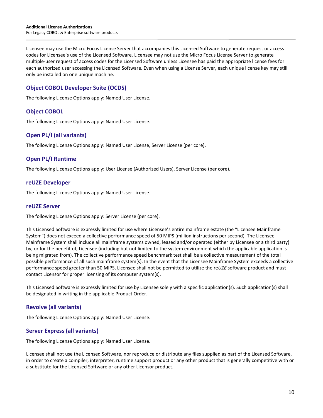Licensee may use the Micro Focus License Server that accompanies this Licensed Software to generate request or access codes for Licensee's use of the Licensed Software. Licensee may not use the Micro Focus License Server to generate multiple-user request of access codes for the Licensed Software unless Licensee has paid the appropriate license fees for each authorized user accessing the Licensed Software. Even when using a License Server, each unique license key may still only be installed on one unique machine.

# **Object COBOL Developer Suite (OCDS)**

The following License Options apply: Named User License.

#### **Object COBOL**

The following License Options apply: Named User License.

# **Open PL/I (all variants)**

The following License Options apply: Named User License, Server License (per core).

# **Open PL/I Runtime**

The following License Options apply: User License (Authorized Users), Server License (per core).

#### **reUZE Developer**

The following License Options apply: Named User License.

#### **reUZE Server**

The following License Options apply: Server License (per core).

This Licensed Software is expressly limited for use where Licensee's entire mainframe estate (the "Licensee Mainframe System") does not exceed a collective performance speed of 50 MIPS (million instructions per second). The Licensee Mainframe System shall include all mainframe systems owned, leased and/or operated (either by Licensee or a third party) by, or for the benefit of, Licensee (including but not limited to the system environment which the applicable application is being migrated from). The collective performance speed benchmark test shall be a collective measurement of the total possible performance of all such mainframe system(s). In the event that the Licensee Mainframe System exceeds a collective performance speed greater than 50 MIPS, Licensee shall not be permitted to utilize the re*UZE* software product and must contact Licensor for proper licensing of its computer system(s).

This Licensed Software is expressly limited for use by Licensee solely with a specific application(s). Such application(s) shall be designated in writing in the applicable Product Order.

# **Revolve (all variants)**

The following License Options apply: Named User License.

# **Server Express (all variants)**

The following License Options apply: Named User License.

Licensee shall not use the Licensed Software, nor reproduce or distribute any files supplied as part of the Licensed Software, in order to create a compiler, interpreter, runtime support product or any other product that is generally competitive with or a substitute for the Licensed Software or any other Licensor product.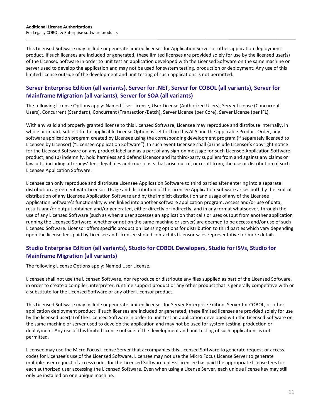This Licensed Software may include or generate limited licenses for Application Server or other application deployment product. If such licenses are included or generated, these limited licenses are provided solely for use by the licensed user(s) of the Licensed Software in order to unit test an application developed with the Licensed Software on the same machine or server used to develop the application and may not be used for system testing, production or deployment. Any use of this limited license outside of the development and unit testing of such applications is not permitted.

# **Server Enterprise Edition (all variants), Server for .NET, Server for COBOL (all variants), Server for Mainframe Migration (all variants), Server for SOA (all variants)**

The following License Options apply: Named User License, User License (Authorized Users), Server License (Concurrent Users), Concurrent (Standard), Concurrent (Transaction/Batch), Server License (per Core), Server License (per IFL).

With any valid and properly granted license to this Licensed Software, Licensee may reproduce and distribute internally, in whole or in part, subject to the applicable License Option as set forth in this ALA and the applicable Product Order, any software application program created by Licensee using the corresponding development program (if separately licensed to Licensee by Licensor) ("Licensee Application Software"). In such event Licensee shall (a) include Licensor's copyright notice for the Licensed Software on any product label and as a part of any sign-on message for such Licensee Application Software product; and (b) indemnify, hold harmless and defend Licensor and its third-party suppliers from and against any claims or lawsuits, including attorneys' fees, legal fees and court costs that arise out of, or result from, the use or distribution of such Licensee Application Software.

Licensee can only reproduce and distribute Licensee Application Software to third parties after entering into a separate distribution agreement with Licensor. Usage and distribution of the Licensee Application Software arises both by the explicit distribution of any Licensee Application Software and by the implicit distribution and usage of any of the Licensee Application Software's functionality when linked into another software application program. Access and/or use of data, results and/or output obtained and/or generated, either directly or indirectly, and in any format whatsoever, through the use of any Licensed Software (such as when a user accesses an application that calls or uses output from another application running the Licensed Software, whether or not on the same machine or server) are deemed to be access and/or use of such Licensed Software. Licensor offers specific production licensing options for distribution to third parties which vary depending upon the license fees paid by Licensee and Licensee should contact its Licensor sales representative for more details.

# **Studio Enterprise Edition (all variants), Studio for COBOL Developers, Studio for ISVs, Studio for Mainframe Migration (all variants)**

The following License Options apply: Named User License.

Licensee shall not use the Licensed Software, nor reproduce or distribute any files supplied as part of the Licensed Software, in order to create a compiler, interpreter, runtime support product or any other product that is generally competitive with or a substitute for the Licensed Software or any other Licensor product.

This Licensed Software may include or generate limited licenses for Server Enterprise Edition, Server for COBOL, or other application deployment product If such licenses are included or generated, these limited licenses are provided solely for use by the licensed user(s) of the Licensed Software in order to unit test an application developed with the Licensed Software on the same machine or server used to develop the application and may not be used for system testing, production or deployment. Any use of this limited license outside of the development and unit testing of such applications is not permitted.

Licensee may use the Micro Focus License Server that accompanies this Licensed Software to generate request or access codes for Licensee's use of the Licensed Software. Licensee may not use the Micro Focus License Server to generate multiple-user request of access codes for the Licensed Software unless Licensee has paid the appropriate license fees for each authorized user accessing the Licensed Software. Even when using a License Server, each unique license key may still only be installed on one unique machine.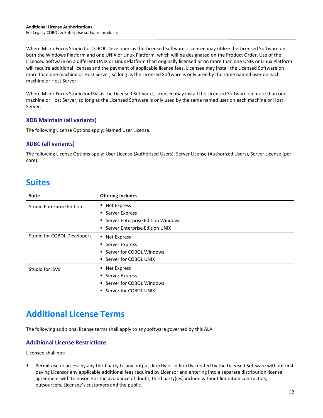Where Micro Focus Studio for COBOL Developers is the Licensed Software, Licensee may utilize the Licensed Software on both the Windows Platform and one UNIX or Linux Platform, which will be designated on the Product Order. Use of the Licensed Software on a different UNIX or Linux Platform than originally licensed or on more than one UNIX or Linux Platform will require additional licenses and the payment of applicable license fees. Licensee may install the Licensed Software on more than one machine or Host Server, so long as the Licensed Software is only used by the same named user on each machine or Host Server.

Where Micro Focus Studio for ISVs is the Licensed Software, Licensee may install the Licensed Software on more than one machine or Host Server, so long as the Licensed Software is only used by the same named user on each machine or Host Server.

# **XDB Maintain (all variants)**

The following License Options apply: Named User License.

# **XDBC (all variants)**

The following License Options apply: User License (Authorized Users), Server License (Authorized Users), Server License (per core).

# **Suites**

| <b>Suite</b>                     | <b>Offering includes</b>            |
|----------------------------------|-------------------------------------|
| <b>Studio Enterprise Edition</b> | ■ Net Express                       |
|                                  | • Server Express                    |
|                                  | • Server Enterprise Edition Windows |
|                                  | • Server Enterprise Edition UNIX    |
| Studio for COBOL Developers      | • Net Express                       |
|                                  | ■ Server Express                    |
|                                  | ■ Server for COBOL Windows          |
|                                  | ■ Server for COBOL UNIX             |
| Studio for ISVs                  | • Net Express                       |
|                                  | • Server Express                    |
|                                  | ■ Server for COBOL Windows          |
|                                  | ■ Server for COBOL UNIX             |

# **Additional License Terms**

The following additional license terms shall apply to any software governed by this ALA:

# **Additional License Restrictions**

Licensee shall not:

1. Permit use or access by any third party to any output directly or indirectly created by the Licensed Software without first paying Licensor any applicable additional fees required by Licensor and entering into a separate distribution license agreement with Licensor. For the avoidance of doubt, third party(ies) include without limitation contractors, outsourcers, Licensee's customers and the public.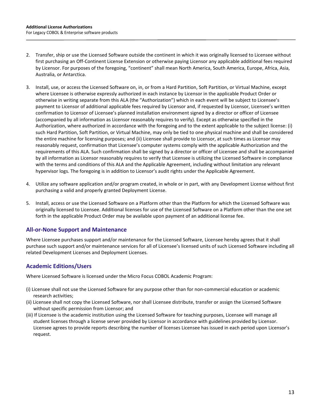- 2. Transfer, ship or use the Licensed Software outside the continent in which it was originally licensed to Licensee without first purchasing an Off-Continent License Extension or otherwise paying Licensor any applicable additional fees required by Licensor. For purposes of the foregoing, "continent" shall mean North America, South America, Europe, Africa, Asia, Australia, or Antarctica.
- 3. Install, use, or access the Licensed Software on, in, or from a Hard Partition, Soft Partition, or Virtual Machine, except where Licensee is otherwise expressly authorized in each instance by Licensor in the applicable Product Order or otherwise in writing separate from this ALA (the "Authorization") which in each event will be subject to Licensee's payment to Licensor of additional applicable fees required by Licensor and, if requested by Licensor, Licensee's written confirmation to Licensor of Licensee's planned installation environment signed by a director or officer of Licensee (accompanied by all information as Licensor reasonably requires to verify). Except as otherwise specified in the Authorization, where authorized in accordance with the foregoing and to the extent applicable to the subject license: (i) such Hard Partition, Soft Partition, or Virtual Machine, may only be tied to one physical machine and shall be considered the entire machine for licensing purposes; and (ii) Licensee shall provide to Licensor, at such times as Licensor may reasonably request, confirmation that Licensee's computer systems comply with the applicable Authorization and the requirements of this ALA. Such confirmation shall be signed by a director or officer of Licensee and shall be accompanied by all information as Licensor reasonably requires to verify that Licensee is utilizing the Licensed Software in compliance with the terms and conditions of this ALA and the Applicable Agreement, including without limitation any relevant hypervisor logs. The foregoing is in addition to Licensor's audit rights under the Applicable Agreement.
- 4. Utilize any software application and/or program created, in whole or in part, with any Development License without first purchasing a valid and properly granted Deployment License.
- 5. Install, access or use the Licensed Software on a Platform other than the Platform for which the Licensed Software was originally licensed to Licensee. Additional licenses for use of the Licensed Software on a Platform other than the one set forth in the applicable Product Order may be available upon payment of an additional license fee.

# **All-or-None Support and Maintenance**

Where Licensee purchases support and/or maintenance for the Licensed Software, Licensee hereby agrees that it shall purchase such support and/or maintenance services for all of Licensee's licensed units of such Licensed Software including all related Development Licenses and Deployment Licenses.

# **Academic Editions/Users**

Where Licensed Software is licensed under the Micro Focus COBOL Academic Program:

- (i) Licensee shall not use the Licensed Software for any purpose other than for non-commercial education or academic research activities;
- (ii) Licensee shall not copy the Licensed Software, nor shall Licensee distribute, transfer or assign the Licensed Software without specific permission from Licensor; and
- (iii) If Licensee is the academic institution using the Licensed Software for teaching purposes, Licensee will manage all student licenses through a license server provided by Licensor in accordance with guidelines provided by Licensor. Licensee agrees to provide reports describing the number of licenses Licensee has issued in each period upon Licensor's request.